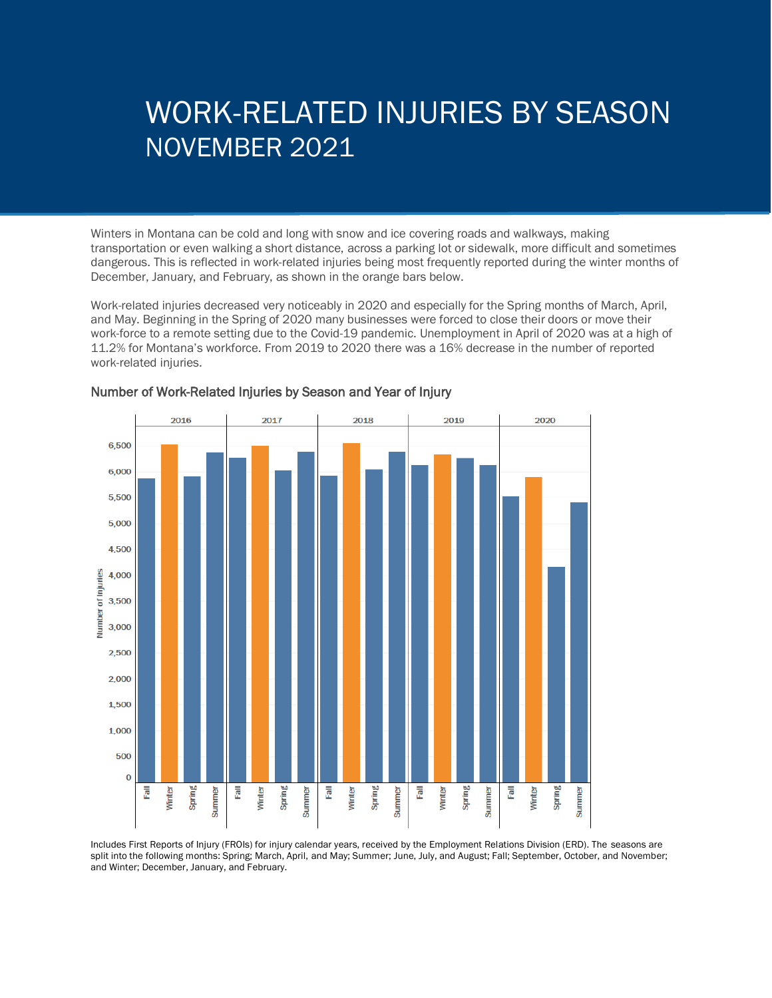# WORK-RELATED INJURIES BY SEASON NOVEMBER 2021

Winters in Montana can be cold and long with snow and ice covering roads and walkways, making transportation or even walking a short distance, across a parking lot or sidewalk, more difficult and sometimes dangerous. This is reflected in work-related injuries being most frequently reported during the winter months of December, January, and February, as shown in the orange bars below.

Work-related injuries decreased very noticeably in 2020 and especially for the Spring months of March, April, and May. Beginning in the Spring of 2020 many businesses were forced to close their doors or move their work-force to a remote setting due to the Covid-19 pandemic. Unemployment in April of 2020 was at a high of 11.2% for Montana's workforce. From 2019 to 2020 there was a 16% decrease in the number of reported work-related injuries.



#### Number of Work-Related Injuries by Season and Year of Injury

Includes First Reports of Injury (FROIs) for injury calendar years, received by the Employment Relations Division (ERD). The seasons are split into the following months: Spring; March, April, and May; Summer; June, July, and August; Fall; September, October, and November; and Winter; December, January, and February.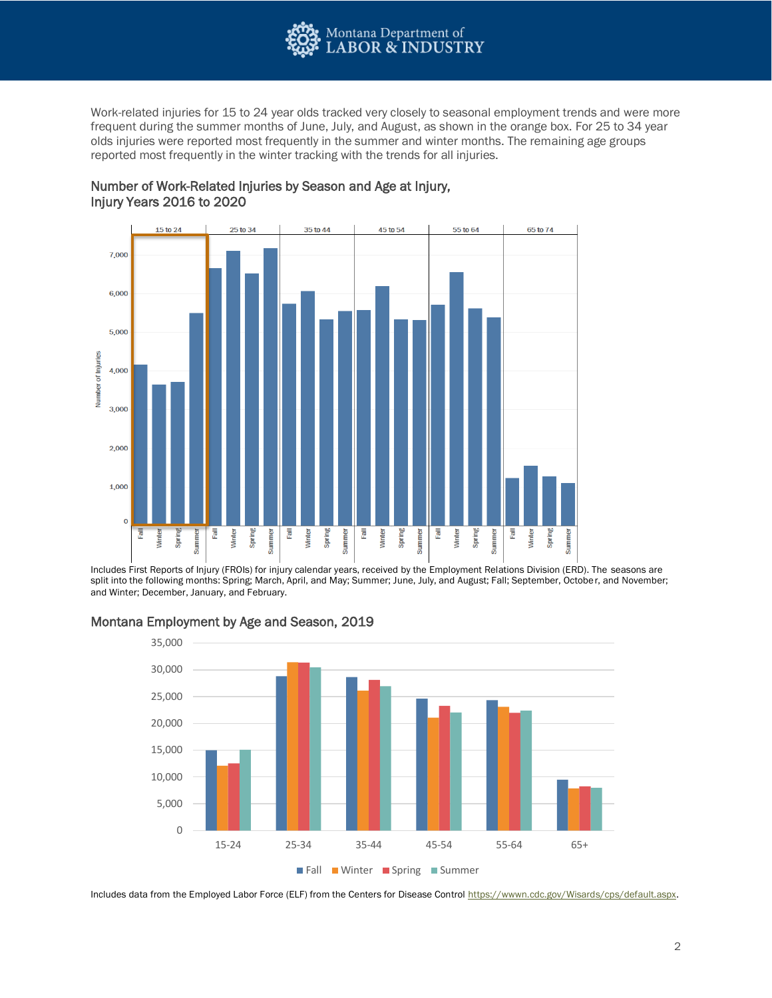

Work-related injuries for 15 to 24 year olds tracked very closely to seasonal employment trends and were more frequent during the summer months of June, July, and August, as shown in the orange box. For 25 to 34 year olds injuries were reported most frequently in the summer and winter months. The remaining age groups reported most frequently in the winter tracking with the trends for all injuries.

### Number of Work-Related Injuries by Season and Age at Injury, Injury Years 2016 to 2020



Includes First Reports of Injury (FROIs) for injury calendar years, received by the Employment Relations Division (ERD). The seasons are split into the following months: Spring; March, April, and May; Summer; June, July, and August; Fall; September, October, and November; and Winter; December, January, and February.



## Montana Employment by Age and Season, 2019

Includes data from the Employed Labor Force (ELF) from the Centers for Disease Control [https://wwwn.cdc.gov/Wisards/cps/default.aspx.](https://wwwn.cdc.gov/Wisards/cps/default.aspx)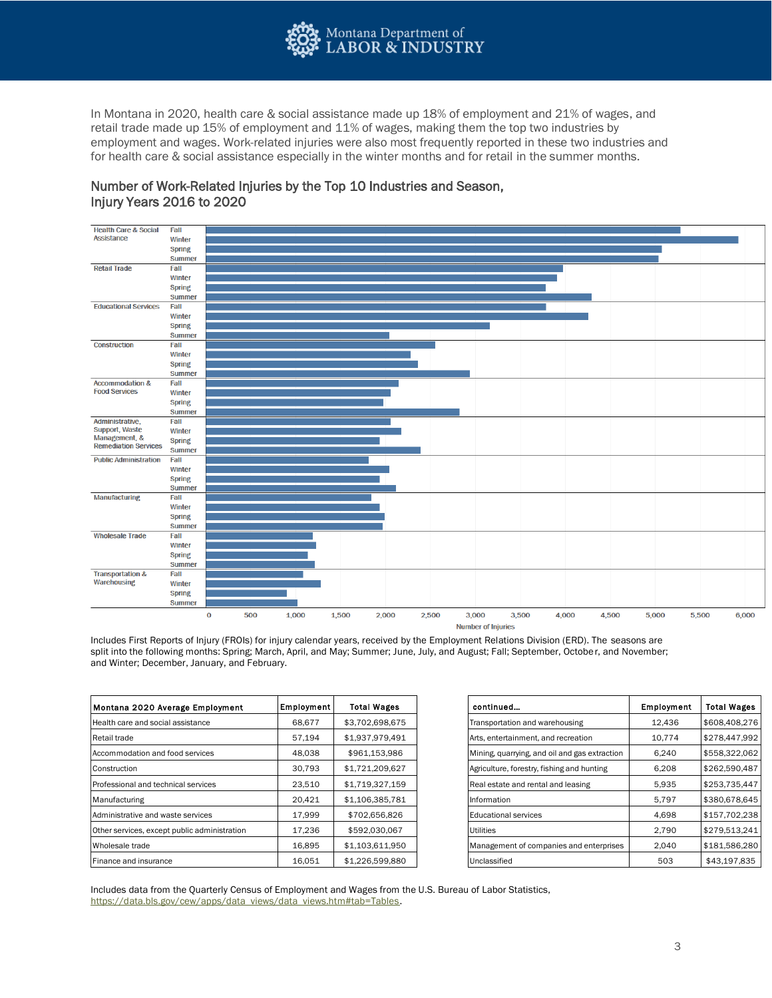

In Montana in 2020, health care & social assistance made up 18% of employment and 21% of wages, and retail trade made up 15% of employment and 11% of wages, making them the top two industries by employment and wages. Work-related injuries were also most frequently reported in these two industries and for health care & social assistance especially in the winter months and for retail in the summer months.

### Number of Work-Related Injuries by the Top 10 Industries and Season, Injury Years 2016 to 2020



Includes First Reports of Injury (FROIs) for injury calendar years, received by the Employment Relations Division (ERD). The seasons are split into the following months: Spring; March, April, and May; Summer; June, July, and August; Fall; September, October, and November; and Winter; December, January, and February.

| Employment | <b>Total Wages</b> | continued                                     | Employment | <b>Total Wages</b> |
|------------|--------------------|-----------------------------------------------|------------|--------------------|
| 68,677     | \$3,702,698,675    | Transportation and warehousing                | 12,436     | \$608,408,276      |
| 57,194     | \$1,937,979,491    | Arts, entertainment, and recreation           | 10.774     | \$278,447,992      |
| 48,038     | \$961,153,986      | Mining, quarrying, and oil and gas extraction | 6.240      | \$558,322,062      |
| 30,793     | \$1,721,209,627    | Agriculture, forestry, fishing and hunting    | 6,208      | \$262,590,487      |
| 23,510     | \$1,719,327,159    | Real estate and rental and leasing            | 5,935      | \$253,735,447      |
| 20,421     | \$1,106,385,781    | Information                                   | 5,797      | \$380,678,645      |
| 17,999     | \$702,656,826      | <b>Educational services</b>                   | 4,698      | \$157,702,238      |
| 17,236     | \$592,030,067      | <b>Utilities</b>                              | 2,790      | \$279,513,241      |
| 16,895     | \$1,103,611,950    | Management of companies and enterprises       | 2,040      | \$181,586,280      |
| 16.051     | \$1,226,599,880    | Unclassified                                  | 503        | \$43,197,835       |
|            |                    |                                               |            |                    |

| Employment | Total Wages     | continued                                     | Employment |
|------------|-----------------|-----------------------------------------------|------------|
| 68,677     | \$3,702,698,675 | Transportation and warehousing                | 12,436     |
| 57.194     | \$1,937,979,491 | Arts, entertainment, and recreation           | 10,774     |
| 48,038     | \$961,153,986   | Mining, quarrying, and oil and gas extraction | 6,240      |
| 30,793     | \$1,721,209,627 | Agriculture, forestry, fishing and hunting    | 6.208      |
| 23,510     | \$1,719,327,159 | Real estate and rental and leasing            | 5,935      |
| 20.421     | \$1,106,385,781 | Information                                   | 5,797      |
| 17,999     | \$702,656,826   | Educational services                          | 4,698      |
| 17.236     | \$592.030.067   | Utilities                                     | 2,790      |
| 16,895     | \$1,103,611,950 | Management of companies and enterprises       | 2,040      |
| 16,051     | \$1,226,599,880 | Unclassified                                  | 503        |

Includes data from the Quarterly Census of Employment and Wages from the U.S. Bureau of Labor Statistics, [https://data.bls.gov/cew/apps/data\\_views/data\\_views.htm#tab=Tables.](https://data.bls.gov/cew/apps/data_views/data_views.htm#tab=Tables)